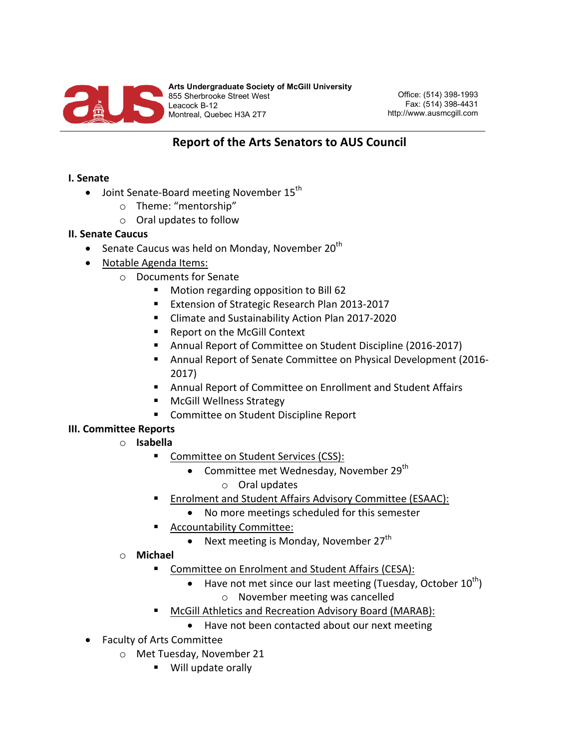

## **Report of the Arts Senators to AUS Council**

## **I. Senate**

- $\bullet$  Joint Senate-Board meeting November 15<sup>th</sup>
	- o Theme: "mentorship"
	- $\circ$  Oral updates to follow

## **II. Senate Caucus**

- Senate Caucus was held on Monday, November  $20^{th}$
- Notable Agenda Items:
	- $\circ$  Documents for Senate
		- Motion regarding opposition to Bill 62
		- Extension of Strategic Research Plan 2013-2017
		- Climate and Sustainability Action Plan 2017-2020
		- Report on the McGill Context
		- Annual Report of Committee on Student Discipline (2016-2017)
		- Annual Report of Senate Committee on Physical Development (2016-2017)
		- Annual Report of Committee on Enrollment and Student Affairs
		- § McGill Wellness Strategy
		- Committee on Student Discipline Report

## **III. Committee Reports**

- o **Isabella** 
	- Committee on Student Services (CSS):
		- Committee met Wednesday, November 29<sup>th</sup>  $\circ$  Oral updates
	- Enrolment and Student Affairs Advisory Committee (ESAAC):
		- No more meetings scheduled for this semester
		- § Accountability Committee:
			- Next meeting is Monday, November  $27<sup>th</sup>$
- o **Michael**
	- Committee on Enrolment and Student Affairs (CESA):
		- Have not met since our last meeting (Tuesday, October  $10^{th}$ )
			- $\circ$  November meeting was cancelled
	- McGill Athletics and Recreation Advisory Board (MARAB):
		- Have not been contacted about our next meeting
- Faculty of Arts Committee
	- o Met Tuesday, November 21
		- Will update orally